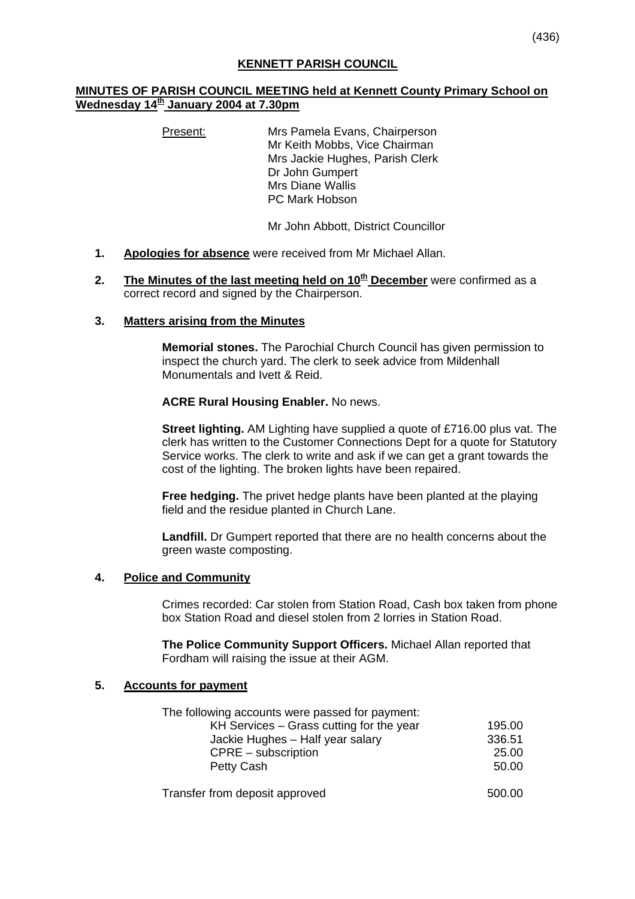## **MINUTES OF PARISH COUNCIL MEETING held at Kennett County Primary School on Wednesday 14th January 2004 at 7.30pm**

Present: Mrs Pamela Evans, Chairperson Mr Keith Mobbs, Vice Chairman Mrs Jackie Hughes, Parish Clerk Dr John Gumpert Mrs Diane Wallis PC Mark Hobson

Mr John Abbott, District Councillor

- **1. Apologies for absence** were received from Mr Michael Allan.
- **2.** The Minutes of the last meeting held on 10<sup>th</sup> December were confirmed as a correct record and signed by the Chairperson.

## **3. Matters arising from the Minutes**

**Memorial stones.** The Parochial Church Council has given permission to inspect the church yard. The clerk to seek advice from Mildenhall Monumentals and Ivett & Reid.

#### **ACRE Rural Housing Enabler.** No news.

**Street lighting.** AM Lighting have supplied a quote of £716.00 plus vat. The clerk has written to the Customer Connections Dept for a quote for Statutory Service works. The clerk to write and ask if we can get a grant towards the cost of the lighting. The broken lights have been repaired.

**Free hedging.** The privet hedge plants have been planted at the playing field and the residue planted in Church Lane.

Landfill. Dr Gumpert reported that there are no health concerns about the green waste composting.

#### **4. Police and Community**

Crimes recorded: Car stolen from Station Road, Cash box taken from phone box Station Road and diesel stolen from 2 lorries in Station Road.

**The Police Community Support Officers.** Michael Allan reported that Fordham will raising the issue at their AGM.

## **5. Accounts for payment**

| The following accounts were passed for payment: |        |
|-------------------------------------------------|--------|
| KH Services - Grass cutting for the year        | 195.00 |
| Jackie Hughes - Half year salary                | 336.51 |
| CPRE – subscription                             | 25.00  |
| Petty Cash                                      | 50.00  |
| Transfer from deposit approved                  | 500.00 |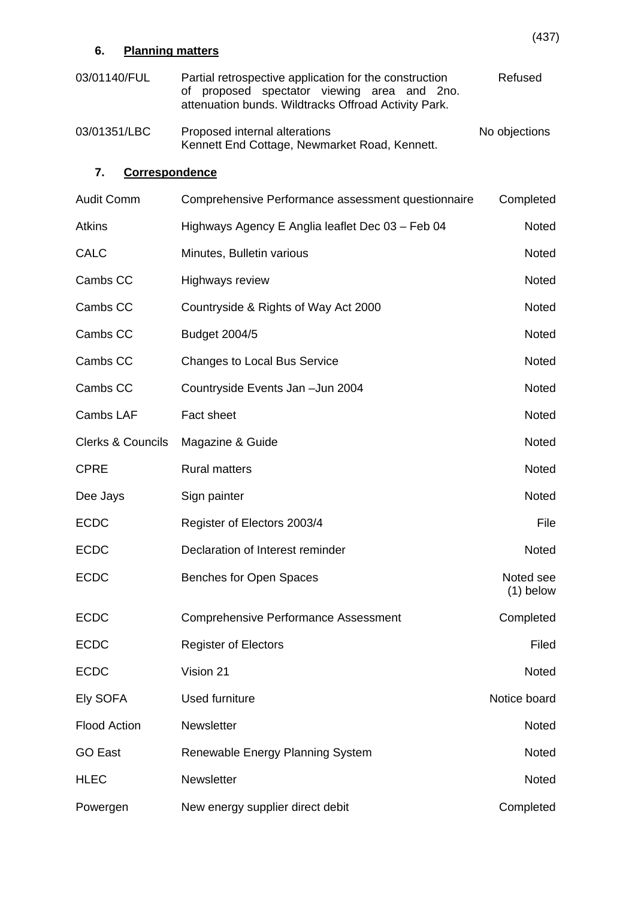| 6.                           | <b>Planning matters</b>                                                                                                                                          | (477)                    |
|------------------------------|------------------------------------------------------------------------------------------------------------------------------------------------------------------|--------------------------|
| 03/01140/FUL                 | Partial retrospective application for the construction<br>proposed spectator viewing area and 2no.<br>Οf<br>attenuation bunds. Wildtracks Offroad Activity Park. | Refused                  |
| 03/01351/LBC                 | Proposed internal alterations<br>Kennett End Cottage, Newmarket Road, Kennett.                                                                                   | No objections            |
| 7.                           | <b>Correspondence</b>                                                                                                                                            |                          |
| <b>Audit Comm</b>            | Comprehensive Performance assessment questionnaire                                                                                                               | Completed                |
| <b>Atkins</b>                | Highways Agency E Anglia leaflet Dec 03 - Feb 04                                                                                                                 | <b>Noted</b>             |
| <b>CALC</b>                  | Minutes, Bulletin various                                                                                                                                        | <b>Noted</b>             |
| Cambs CC                     | Highways review                                                                                                                                                  | <b>Noted</b>             |
| Cambs CC                     | Countryside & Rights of Way Act 2000                                                                                                                             | Noted                    |
| Cambs CC                     | <b>Budget 2004/5</b>                                                                                                                                             | <b>Noted</b>             |
| Cambs CC                     | <b>Changes to Local Bus Service</b>                                                                                                                              | <b>Noted</b>             |
| Cambs CC                     | Countryside Events Jan - Jun 2004                                                                                                                                | <b>Noted</b>             |
| <b>Cambs LAF</b>             | Fact sheet                                                                                                                                                       | <b>Noted</b>             |
| <b>Clerks &amp; Councils</b> | Magazine & Guide                                                                                                                                                 | <b>Noted</b>             |
| <b>CPRE</b>                  | <b>Rural matters</b>                                                                                                                                             | <b>Noted</b>             |
| Dee Jays                     | Sign painter                                                                                                                                                     | <b>Noted</b>             |
| <b>ECDC</b>                  | Register of Electors 2003/4                                                                                                                                      | File                     |
| <b>ECDC</b>                  | Declaration of Interest reminder                                                                                                                                 | Noted                    |
| <b>ECDC</b>                  | Benches for Open Spaces                                                                                                                                          | Noted see<br>$(1)$ below |
| <b>ECDC</b>                  | <b>Comprehensive Performance Assessment</b>                                                                                                                      | Completed                |
| <b>ECDC</b>                  | <b>Register of Electors</b>                                                                                                                                      | Filed                    |
| <b>ECDC</b>                  | Vision 21                                                                                                                                                        | Noted                    |
| Ely SOFA                     | Used furniture                                                                                                                                                   | Notice board             |
| <b>Flood Action</b>          | Newsletter                                                                                                                                                       | <b>Noted</b>             |
| <b>GO East</b>               | Renewable Energy Planning System                                                                                                                                 | <b>Noted</b>             |
| <b>HLEC</b>                  | Newsletter                                                                                                                                                       | Noted                    |
| Powergen                     | New energy supplier direct debit                                                                                                                                 | Completed                |